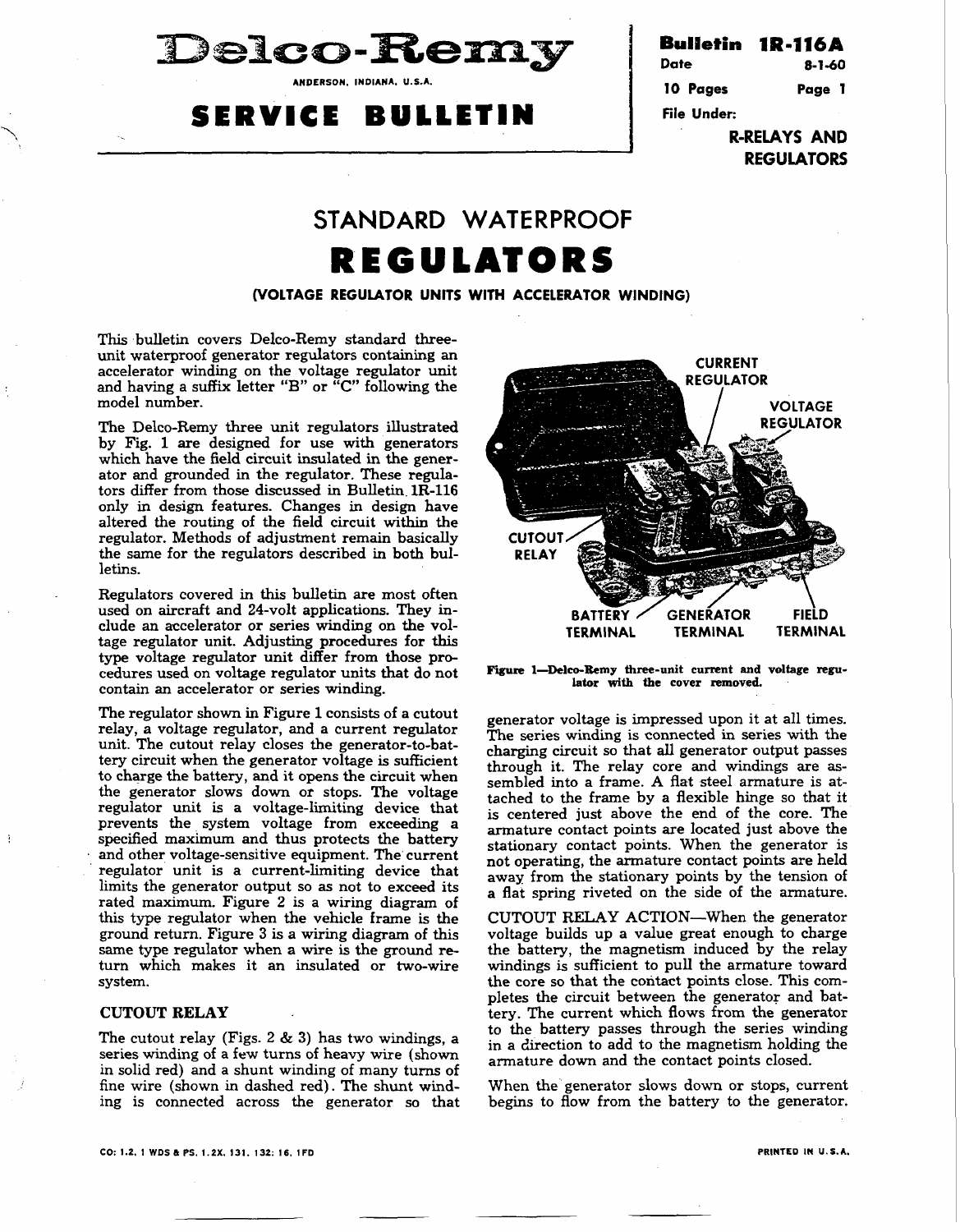| <b>Delco-Remy</b> |  |  |  |  |  |  |
|-------------------|--|--|--|--|--|--|
|-------------------|--|--|--|--|--|--|

**ANDERSON. INDIANA. U.S.A.** 

# **SERVICE BULLETIN**

| em     | Date                | <b>Bulletin 1R-116A</b><br>$8 - 1 - 60$ |
|--------|---------------------|-----------------------------------------|
|        | 10 Pages            | Page 1                                  |
| .LETIN | <b>File Under:</b>  |                                         |
|        | <b>R-RELAYS AND</b> |                                         |
|        |                     |                                         |

## **REGULATORS**

# **STANDARD**  WATERPROOF **REGULATORS**

### **(VOLTAGE REGULATOR UNITS WITH ACCELERATOR WINDING)**

**This** -bulletin covers Delco-Remy standard threeunit waterproof generator regulators containing an accelerator winding on the voltage regulator unit and having a suffix letter "B" or "C" following the model number.

The Delco-Remy three unit regulators illustrated by Fig. 1 are designed for use with generators which have the field circuit insulated in the generator and grounded in the regulator. These regulators differ from those discussed in Bulletin 1R-116 only in design features. Changes in design have altered the routing of the field circuit within the regulator. Methods of adjustment remain basically the same for the regulators described in both bulletins.

Regulators covered in this bulletin are most often used on aircraft and 24-volt applications. They include an accelerator or series winding on the voltage regulator unit. Adjusting procedures for this type voltage regulator unit differ from those procedures used on voltage regulator units that do not contain an accelerator or series winding.

The regulator shown in Figure 1 consists of a cutout relay, a voltage regulator, and a current regulator unit. The cutout relay closes the generator-to-battery circuit when the generator voltage is sufficient to charge the battery, and it opens the circuit when the generator slows down or stops. The voltage regulator unit is a voltage-limiting device that prevents the system voltage from exceeding a specified maximum and thus protects the battery and other voltage-sensitive equipment. The current regulator unit is a current-limiting device that limits the generator output so **as** not to exceed its rated maximum. Figure 2 is a wiring diagram of this type regulator when the vehicle frame is the ground return. Figure 3 is a wiring diagram of **this**  same type regulator when a wire is the ground return which makes it an insulated or two-wire system.

#### **CUTOUT RELAY**

The cutout relay (Figs. 2  $&$  3) has two windings, a series winding of a few turns of heavy wire (shown in solid red) and a shunt winding of many turns of fine wire (shown in dashed red). The shunt winding is connected across the generator so that



Figure 1-Delco-Remy three-unit current and voltage regulator with the cover removed.

generator voltage is impressed upon it at all times. The series winding is connected in series with the charging circuit so that all generator output passes through it. The relay core and windings are assembled into a frame. A flat steel armature is attached to the frame by a flexible hinge so that it is centered just above the end of the core. The armature contact points are located just above the stationary contact points. When the generator is not operating, the armature contact points are held away from the stationary points by the tension of a flat spring riveted on the side of the armature.

CUTOUT RELAY ACTION-When the generator voltage builds up a value great enough to charge the battery, the magnetism induced by the relay windings is sufficient to pull the armature toward the core so that the contact points close. This completes the circuit between the generator and battery. The current which flows from the generator to the battery passes through the series winding in a direction to add to the magnetism holding the armature down and the contact points closed.

When the' generator slows down or stops, current begins to flow from the battery to the generator.

**CO: 1.2. 1 WDSbPS. 1.2X. 131. 132: 16. 1FD PRINTED IN U.S.A.**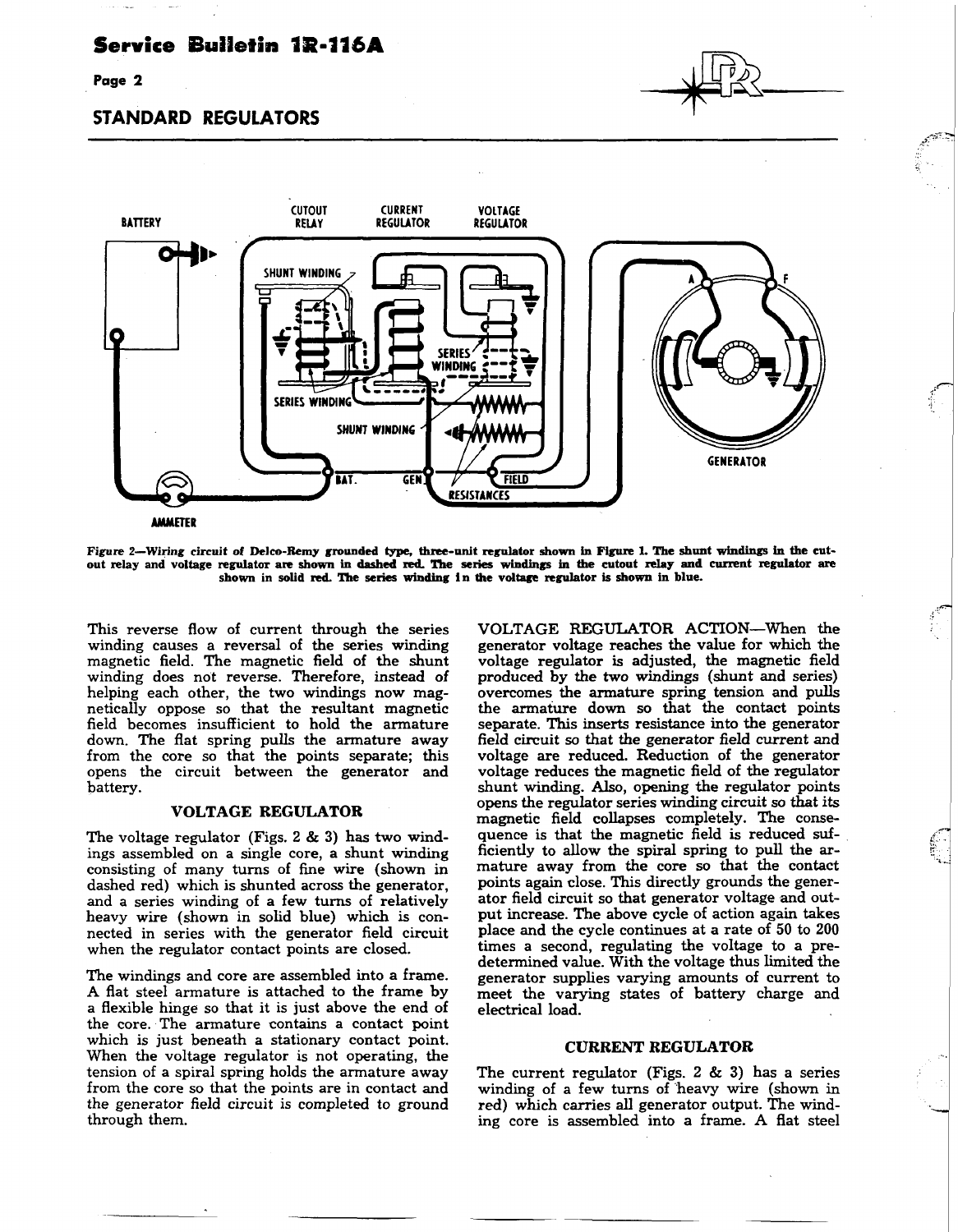**Page 2** 

## **STANDARD REGULATORS**





Figure 2-Wiring circuit **of Deleo-Remy grounded type,** three-unit regulator **shown** in **Figure 1. The** shunt windings in the cutout relay and voltage regulator are shown in dashed red. The series windings in the cutout relay and current regulator are shown in solid red. The series winding in the voltage regulator is shown in blue.

This reverse flow of current through the series winding causes a reversal of the series winding magnetic field. The magnetic field of the shunt winding does not reverse. Therefore, instead of helping each other, the two windings now magnetically oppose so that the resultant magnetic field becomes insufficient to hold the armature down. The flat spring pulls the armature away from the core so that the points separate; this opens the circuit between the generator and battery.

#### **VOLTAGE REGULATOR**

The voltage regulator (Figs. 2 & 3) has two windings assembled on a single core, a shunt winding consisting of many turns of fine wire (shown in dashed red) which is shunted across the generator, and a series winding of a few turns of relatively heavy wire (shown in solid blue) which is connected in series with the generator field circuit when the regulator contact points are closed.

The windings and core are assembled into a frame. A flat steel armature is attached to the frame by a flexible hinge so that it is just above the end of the core. The armature contains a contact point which is just beneath a stationary contact point. When the voltage regulator is not operating, the tension of a spiral spring holds the armature away from the core so that the points are in contact and the generator field circuit is completed to ground through them.

VOLTAGE REGULATOR ACTION-When the generator voltage reaches the value for which the voltage regulator is adjusted, the magnetic field produced by the two windings (shunt and series) overcomes the armature spring tension and pulls the armature down so that the contact points separate. This inserts resistance into the generator field circuit **so** that the generator field current and voltage are reduced. Reduction of the generator voltage reduces the magnetic field of the regulator shunt winding. Also, opening the regulator points opens the regulator series **winding** circuit so that its magnetic field collapses completely. The consequence is that the magnetic field is reduced sufficiently to allow the spiral spring to pull the armature away from the core so that the contact points again close. This directly grounds the generator field circuit so that generator voltage and output increase. The above cycle of action again takes place and the cycle continues at a rate of 50 to 200 times a second, regulating the voltage to a predetermined value. With the voltage thus limited the generator supplies varying amounts of current to meet the varying states of battery charge **and**  electrical load.

#### **CURRENT REGULATOR**

The current regulator (Figs. 2  $&$  3) has a series winding of a few turns of heavy wire (shown in red) which carries **all** generator output. The winding core is assembled into a frame. A flat steel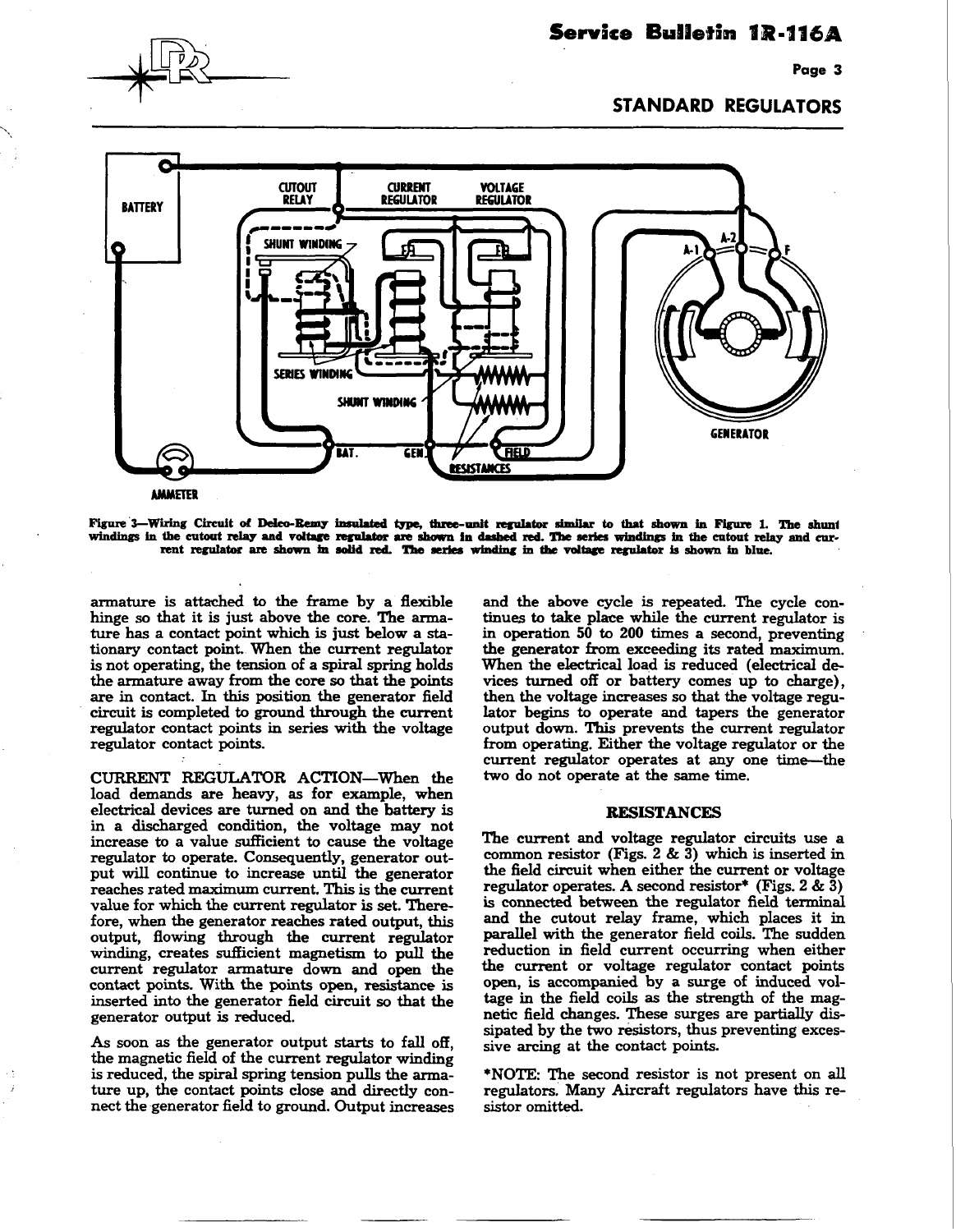**Page 3** 

**I STANDARD REGULATORS** 



**F'iguxe'3--W\* Circuit d I)elco-lknv inwkted** type, **three-4 regulator** dmih **to that shown in** Figme **1. The shunt**  windings **in tbe cutout day and vdbge regdak are** shown **In** dahcd **red, Tbc series** windings **in** the **cutout relay and** cur. **rent regalator are shown in did red. Tbs aeries whhg in tbe voltage regulator is shown in blue.** 

armature is attached to the frame by a flexible hinge so that it is just above the core. The **arma**ture has a contact point which is **just** below a **sta**tionary contact point. When the current regulator is not operating, the tension of a spiral spring holds the mature away from the core **so** that the points are in contact. In this position the generator field circuit is completed to ground through the current regulator contact points in **series** with the voltage regulator contact points.

**CURRENT REGULATOR ACTION-When** the load demands are heavy, **as** for example, when electrical devices are turned on and the **battery** is in a discharged condition, the voltage may not increase to a value sufficient to cause the voltage regulator to operate. Consequently, generator output will continue to increase until **the** generator reaches rated maximum current. **This** is the current value for which the current regulator is set. **There**fore, when the generator reaches rated output, **this**  output, flowing through the current regulator winding, creates sufficient magnetism to pull the current regulator armature down and open the contact points. With the points open, resistance is inserted into the generator field circuit **so** that the generator output is reduced.

As soon as the generator output **starts** to fall off, the magnetic field of the current regulator winding is reduced, the spiral spring tension pulls the armature up, the contact points close and directly connect the generator field to ground. Output increases and the above cycle is repeated. The cycle continues to take place while the current regulator is in operation **50 to** 200 times a second, preventing the generator **from** exceeding its rated maximum. When the electrical load is reduced (electrical devices turned off or battery comes up to charge), then the voltage increases so that the voltage regulator **begins** to operate and tapers the generator output down. This prevents the current regulator from operating. Either the voltage regulator or the current regulator operates at any one time-the two do not operate at the same time.

#### **RESISTANCES**

The current and voltage regulator circuits **use** a common resistor (Figs.  $2 \& 3$ ) which is inserted in the field circuit when either the current or voltage regulator operates. A second resistor\* (Figs. 2 &  $\bar{3}$ ) is **connected between** the regulator field terminal and the cutout **relay** frame, which places it in parallel with the generator field coils. The sudden reduction in field current occurring when either the current or voltage regulator contact points open, is accompanied by a surge of induced voltage in the field coils **as** the **strength** of the magnetic field changes. These surges are partially **dis**sipated by the two resistors, thus preventing excessive arcing at the contact points.

**\*NOTE:** The second resistor is not present on all regulators. Many Aircraft regulators have **this** resistor omitted.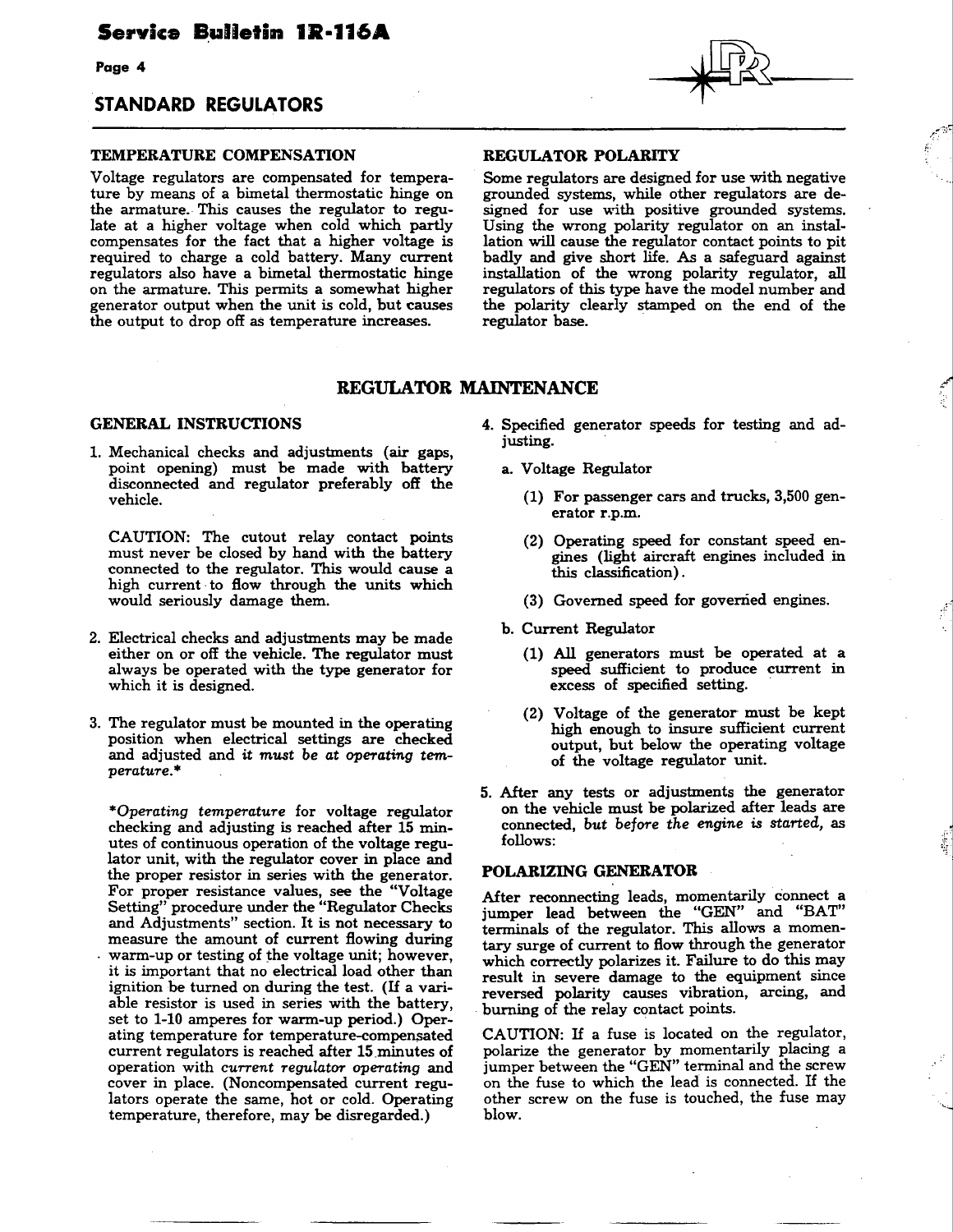**Page 4** 

## **STANDARD REGULATORS**

## **TEMPERATURE COMPENSATION**

Voltage regulators are compensated for temperature by means of a bimetal thermostatic hinge on the armature. This causes the regulator to regulate at a higher voltage when cold which partly compensates for the fact that a higher voltage is required to charge a cold battery. Many current regulators also have a bimetal thermostatic hinge on the armature. This permits a somewhat higher generator output when the unit is cold, but causes the output to drop off as temperature increases.

## **REGULATOR POLARITY**

Some regulators are designed for use with negative grounded **systems,** while other regulators are designed for use with positive grounded systems. Using the wrong polarity regulator on an installation will cause the regulator contact points to pit badly and give short life. As a safeguard against installation of the wrong polarity regulator, **all**  regulators of **this type** have the model number and the polarity clearly stamped on the end of the regulator base.

## **REG'ULATOR MAINTENANCE**

#### **GENERAL INSTRUCTIONS**

1. Mechanical checks and adjustments (air gaps, point opening) must be made with battery disconnected and regulator preferably off the vehicle.

CAUTION: The cutout relay contact points must never be closed by hand with the battery connected to the regulator. **This** would cause a high current to flow through the **units** which would seriously damage them.

- 2. Electrical checks and adjustments may be made<br>either on or off the vehicle. The regulator must (1) All generators must be operated at a either on or off the vehicle. The regulator must always be operated with the type generator for always be operated with the type generator for **speed sufficient to produce current in** which it is designed. **specified** setting.
- 3. The regulator must be mounted in the operating (2) Voltage of the generator must be kept high enough to insure sufficient current position when electrical settings are checked and adjusted and it must be at operating t

\*Operating temperature for voltage regulator checking and adjusting is reached after 15 **min**utes of continuous operation of the voltage regulator unit, with the regulator cover in place and the proper resistor in series with the generator. For proper resistance values, see the "Voltage Setting" procedure under the "Regulator Checks and Adjustments" section. It is not necessary to warm-up or testing of the voltage unit; however, it is important that no electrical load other than ignition be turned on during the test. (If a variable resistor is used in series with the battery, set to 1-10 amperes for warm-up period.) Operating temperature for temperature-compensated current regulators is reached after 15.minutes of operation with current regulator operating and cover in place. (Noncompensated current regulators operate the same, hot or cold. Operating temperature, therefore, may be disregarded.)

- 4. Specified generator **speeds** for testing and adjusting.
	- a. Voltage Regulator
		- (1) For passenger cars and trucks, 3,500 generator r.p.m.
		- (2) Operating speed for constant speed engines (light aircraft engines included in this classification).
		- (3) Governed **speed** for govenied engines.
	- - excess of specified setting.
		-
- 5. After any tests or adjustments the generator on the vehicle must be polarized after leads are connected, but before the engine is started, as follows:

#### **POLARIZING GENERATOR**

After reconnecting leads, momentarily connect a jumper lead between the "GEN" and **"BAT"**  terminals of the regulator. **This** allows a momentary surge of current to flow through the generator which correctly polarizes it. Failure to do this may result in severe damage to the equipment since reversed polarity causes vibration, arcing, and burning of the relay contact points.

CAUTION: If a fuse is located on the regulator, polarize the generator by momentarily placing a jumper between the "GEN" terminal and the screw on the fuse to which the lead is connected. If the other screw on the fuse is touched, the fuse may blow.

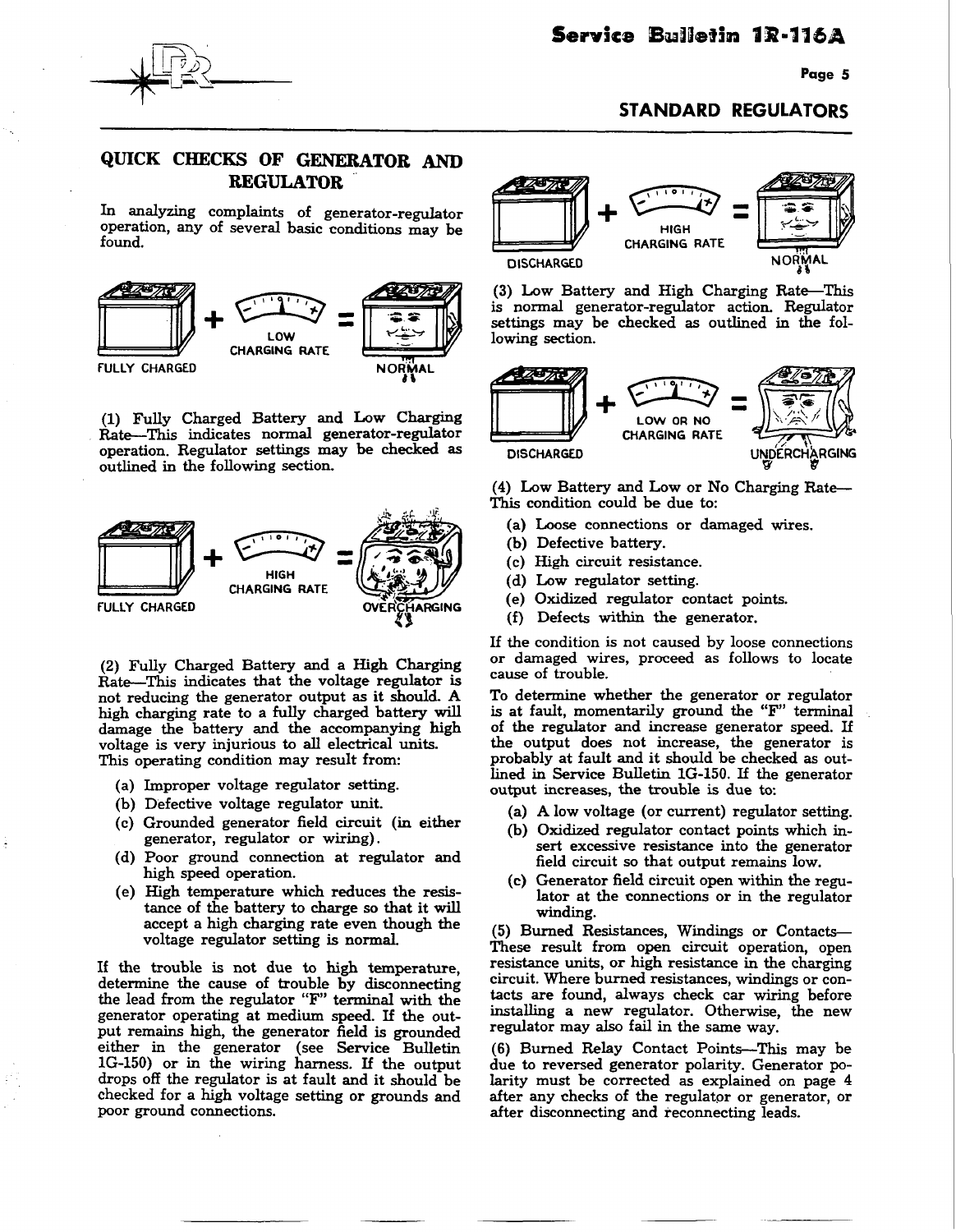

#### **Page 5**

## **STANDARD REGULATORS**

# **QUICK CHECKS OF GENERATOR AND REGULATOR**

In analyzing complaints of generator-regulator operation, any of several basic conditions may be found.



(1) Fully Charged Battery and Low Charging Rate-This indicates normal generator-regulator operation. Regulator settings may be checked **as**  outlined in the following section.



(2) Fully Charged Battery and a High Charging Rate-This indicates that the voltage regulator is not reducing the generator output **as** it should. A high charging rate to a fully charged battery will damage the battery and the accompanying high voltage is very injurious to **all** electrical units. This operating condition may result from:

- (a) Improper voltage regulator setting.
- (b) Defective voltage regulator unit.
- (c) Grounded generator field circuit (in either generator, regulator or wiring).
- (d) Poor ground connection at regulator and high speed operation.
- (e) High temperature which reduces the resistance of the battery to charge so that it will accept a high charging rate even though the voltage regulator setting is normal.

If the trouble is not due to high temperature, determine the cause of trouble by disconnecting the lead from the regulator "F" terminal with the generator operating at medium **speed.** If the output remains high, the generator field is grounded either in the generator (see Service Bulletin 1G-150) or in the wiring harness. If the output drops off the regulator is at fault and it should be checked for a high voltage setting or grounds and poor ground connections.



(3) Low Battery and High Charging Rate-This is normal generator-regulator action Regulator settings may be checked **as** outlined in the following section.



(4) Low Battery and Low or No Charging Rate-- This condition could be due to:

- (a) Loose connections or damaged wires.
- (b) Defective battery.
- (c) **High** circuit resistance.
- (d) Low regulator setting.
- (e) Oxidized regulator contact points.
- (f) Defects **within the** generator.

If the condition is not caused by loose connections or damaged wires, proceed as follows to locate cause of trouble.

To determine whether the generator or regulator is at fault, momentarily ground the "F" terminal of the regulator and increase generator speed. If the output does not increase, the generator is probably at fault and it should be checked as outlined in Service Bulletin 1G-150. If the generator output increases, the trouble is due to:

- (a) A low voltage (or current) regulator setting.
- (b) Oxidized regulator contact points which insert excessive resistance into the generator field circuit so that output remains low.
- (c) Generator field circuit open within the regulator at the connections or in the regulator winding.

(5) Burned Resistances, Windings or Contacts-These result from open circuit operation, open resistance units, or high resistance in the charging circuit. Where burned resistances, windings or contacts are found, always check car wiring before installing a new regulator. Otherwise, the new regulator may **also** fail in the same way.

(6) Burned Relay Contact Points-This may be due to reversed generator polarity. Generator polarity must be corrected **as** explained on page 4 after any checks of the regulator or generator, or after disconnecting and reconnecting leads.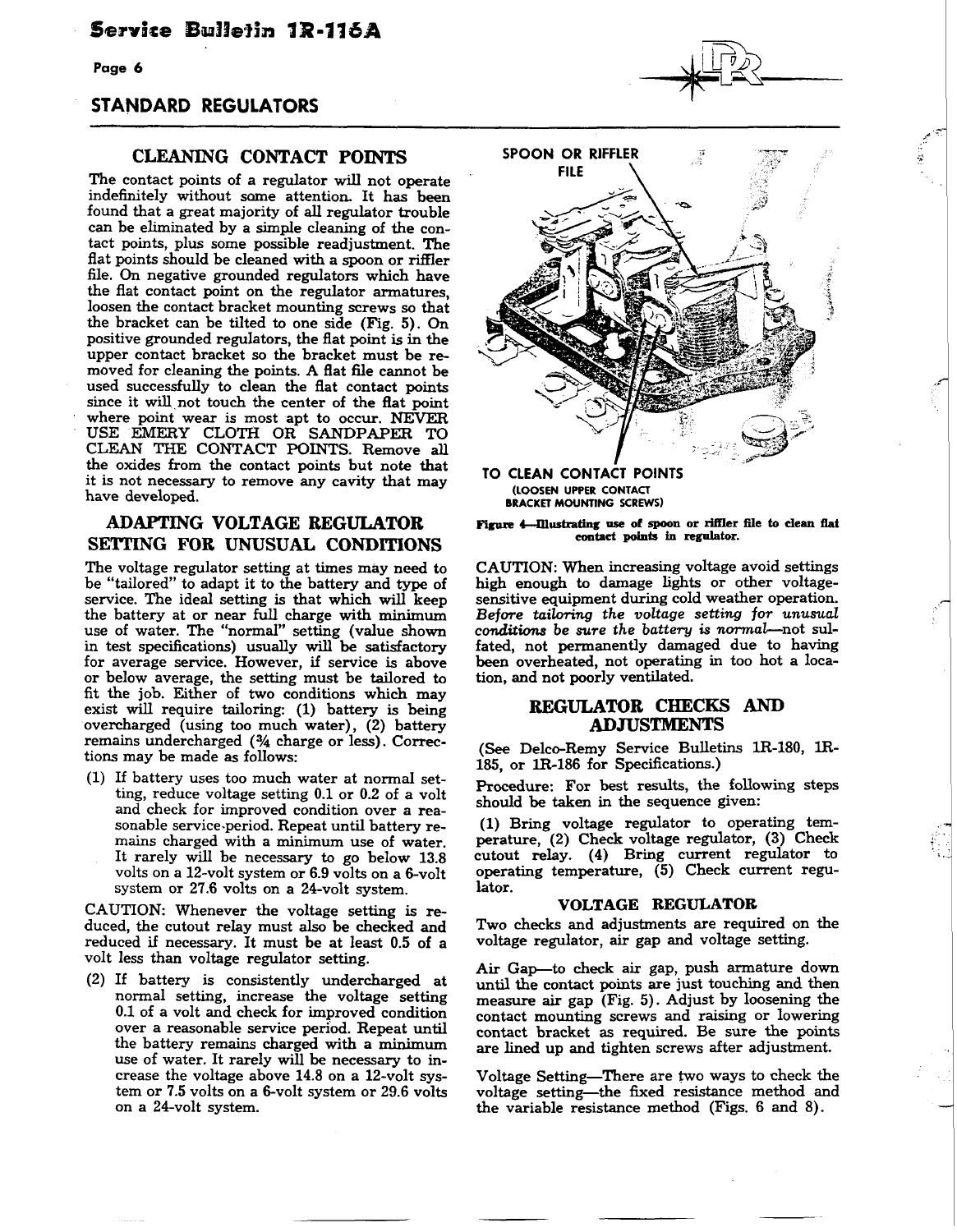**Page 6** 

## **STANDARD REGULATORS**

## **CLEANING CONTACT POINTS**

The contact points of a regulator will not operate indefinitely without same attention It has been found that a great majority of **all** regulator trouble can be eliminated by a simple cleaning of the contact points, plus some possible readjustment. The flat points should be cleaned with a spoon or riffler file. On negative grounded regulators which have the flat contact point on the regulator armatures, loosen the contact bracket mounting screws **so** that the bracket can be tilted to one side (Fig. 5). On positive grounded regulators, the flat point is in the upper contact bracket so the bracket must be removed for cleaning the points. A flat file cannot be used successfully to clean the flat contact points since it will not touch the center of the flat point where point wear is most apt to occur. NEVER USE EMERY CLOTH OR SANDPAPER TO CLEAN THE CONTACT POINTS. Remove **all**  the oxides from the contact points but note that it is not necessary to remove any cavity that may have developed.

## **ADAPTING VOLTAGE REGULATOR SETIWG FOR UNUSUAL CONDITIONS**

The voltage regulator setting at times may need to be "tailored" to adapt it to the battery and **type** of service. The ideal setting is that which will keep the battery at or near **full** charge with minimum use of water. The "normal" setting (value shown in test specifications) usually will be satisfactory for average service. However, if service is above or below average, the setting must be tailored to fit the job. Either of two conditions which may exist will require tailoring: (1) battery is being overcharged (using too much water), (2) battery remains undercharged *(3A* charge or less). Corrections may be made as follows:

(1) If battery uses too much water at normal setting, reduce voltage setting 0.1 or 0.2 of a volt and check for improved condition over a reasonable service.period. Repeat until battery remains charged with a **minimum** use of water. It rarely will be necessary to go below 13.8 volts on a 12-volt system or 6.9 volts on a 6-volt system or 27.6 volts on a 24-volt system.

CAUTION: Whenever the voltage setting is reduced, the cutout relay must **also** be checked and reduced if necessary. It must be at least 0.5 of a volt less than voltage regulator setting.

(2) If battery is consistently undercharged at normal setting, increase the voltage setting 0.1 of a volt and check for improved condition over a reasonable service period. Repeat until the battery remains charged with a minimum use of water. It rarely will be necessary to increase the voltage above 14.8 on a 12-volt system or 7.5 volts on a 6-volt system or 29.6 volts on a 24-volt system.



Ą,

**(LOOSEN UPPER CONTACT BRACKET MOUNTING SCREWS)** 

#### Figure 4---Illustrating use of spoon or riffler file to clean flat **eontact points in regulator.**

CAUTION: When increasing voltage avoid settings high enough to damage lights or other voltagesensitive equipment during cold weather operation. Before *tailoring* the voltage setting for unusual conditions be sure the battery is normal-not sulfated, not permanently damaged due to having **been** overheated, not operating in too hot a location, and not poorly ventilated.

## **REGULATOR CHECKS AND ADJUSTMENTS**

**(See** Delco-Remy Service Bulletins lR-180, lR-185, or 1R-186 for Specifications.)

Procedure: For best results, the following steps should be **taken** in the sequence given:

(1) Bring voltage regulator to operating temperature, (2) Check voltage regulator, (3) Check cutout relay. (4) Bring current regulator to operating temperature, (5) Check current regulator.

#### **VOLTAGE REGULATOR**

Two checks and adjustments are required on the voltage regulator, air gap and voltage setting.

Air Gap-to check air gap, push armature down until the contact **points** are just touching and then measure air gap (Fig. 5). Adjust by loosening the contact mounting screws and raising or lowering contact bracket as required. Be sure the **points**  are lined up and tighten screws after adjustment.

Voltage Setting-There are two ways to check the voltage setting-the fixed resistance method and the variable resistance method (Figs. 6 and 8).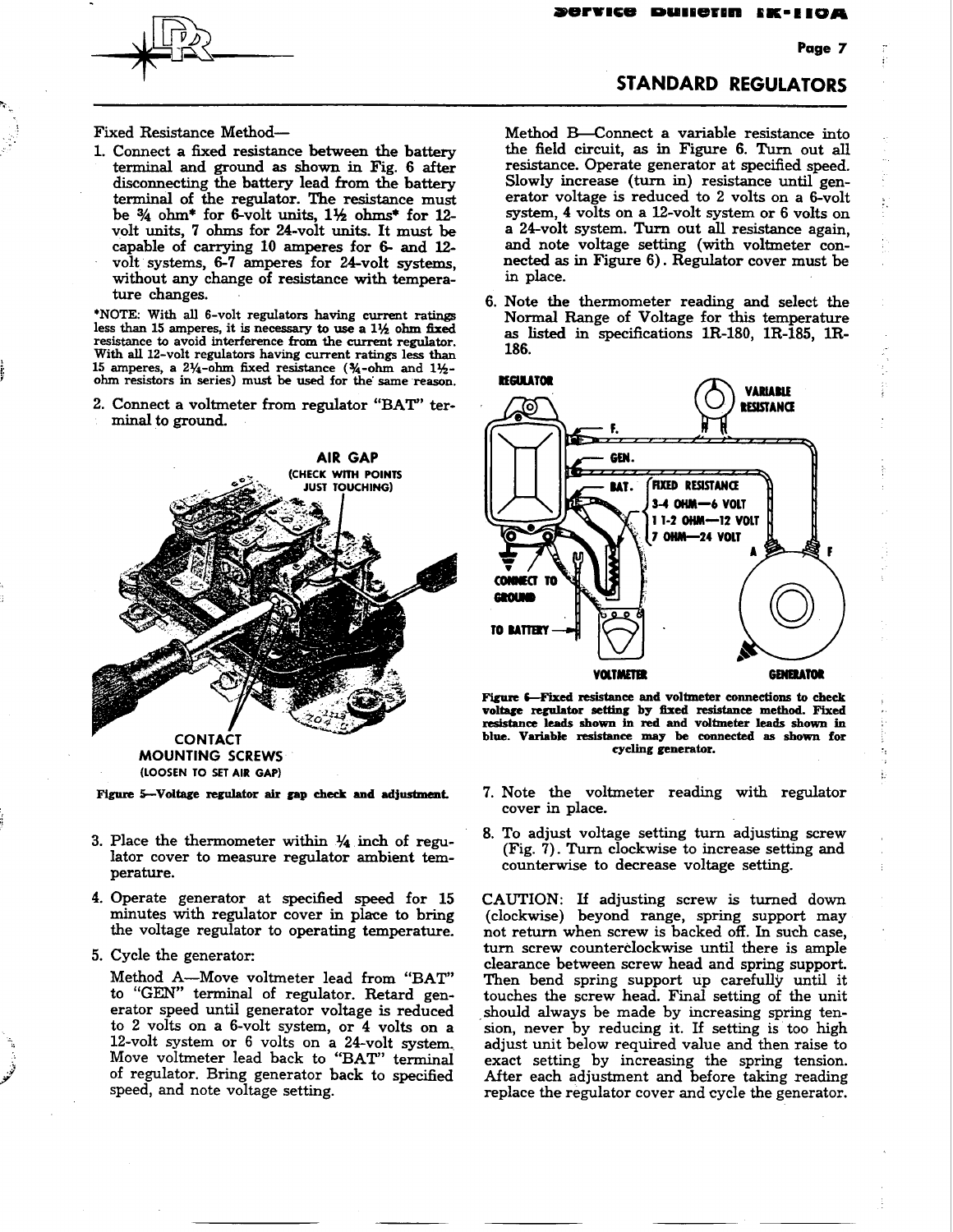

# **STANDARD REGULATORS**

Fixed Resistance Method-

1. Connect a **fixed** resistance **between** the battery terminal and ground as shown in Fig. 6 **after**  disconnecting the battery lead from the battery terminal of the regulator. The resistance must be **3/4** ohm\* for &volt units, 1% ohms\* for **12**  volt units, 7 ohms for 24-volt units. It must be capable of carrying 10 amperes for 6- and **12**  volt systems, 67 amperes for 24-volt systems, without any change of resistance with temperature changes.

**\*NOTE:** With **all** 6-volt regulators **having current ratings** less than 15 amperes, it is necwary to **use** a 1% ohm **hed**  resistance to avoid interference from the current **regulator.**  :: With **all** 12-volt regulators having **current ratings less** than **<sup>15</sup>**amperes, a 2%-ohm **fixed** resistance (%-ohm and **1% j~** ohm resistors in series) **must** be **used** for the same **reason.** 

2. Connect a voltmeter from regulator "BAT' terminal to ground.



Figure 5-Voltage regulator air gap check and adjustment.

- 3. Place the thermometer within % inch of **regu**lator cover to measure regulator ambient temperature.
- 4. Operate generator at specified **speed** for 15 minutes with regulator cover in place to bring the voltage regulator to operating temperature.

5. Cycle the generator:

Method A-Move voltmeter lead from "BAT" to **"GEN"** terminal of regulator. Retard generator speed **until** generator voltage is reduced to 2 volts on a 6-volt system, or 4 volts on a 12-volt system or 6 volts on a 24-volt system. Move voltmeter lead back to "BAT" terminal of regulator. Bring generator back to specified speed, and note voltage setting.

Method B-Connect a variable resistance into the field circuit, as in Figure 6. **Turn** out **all**  resistance. Operate generator at specified speed. Slowly increase **(turn** in) resistance until generator voltage is reduced to 2 volts on a 6-volt system, 4 volts on a 12-volt system or 6 volts on a 24-volt system. **Turn** out **all** resistance again, and note voltage setting (with voltmeter connected as in Figure 6). Regulator cover must be in place.

6. Note the thermometer reading and select the Normal Range of Voltage for this temperature<br>as listed in specifications 1R-180, 1R-185, 1R-186.



Figure 6-Fixed resistance and voltmeter connections to check **voltage regulator setting by fixed resistance method. F'ixed resistance leads shown in red and voltmeter lea& shown in blue. Variable resistance may be connected as shown for cycling generator.** 

- 7. Note the voltmeter reading with regulator cover in place.
- 8. To adjust voltage setting turn adjusting screw (Fig. 7). **Turn** clockwise to increase setting and counterwise to decrease voltage setting.

CAUTION: If adjusting screw is turned down (clockwise) beyond range, spring support may not return when screw is backed off. In such case, turn screw counterclockwise until there is ample clearance between screw head and spring support. Then bend spring support up carefully until it touches the screw head. Final setting of the unit .should always be made by increasing spring tension, never by reducing it. If setting is too high adjust unit below required value and then raise to exact setting by increasing the spring tension. After each adjustment and before taking reading replace the regulator cover and cycle the generator.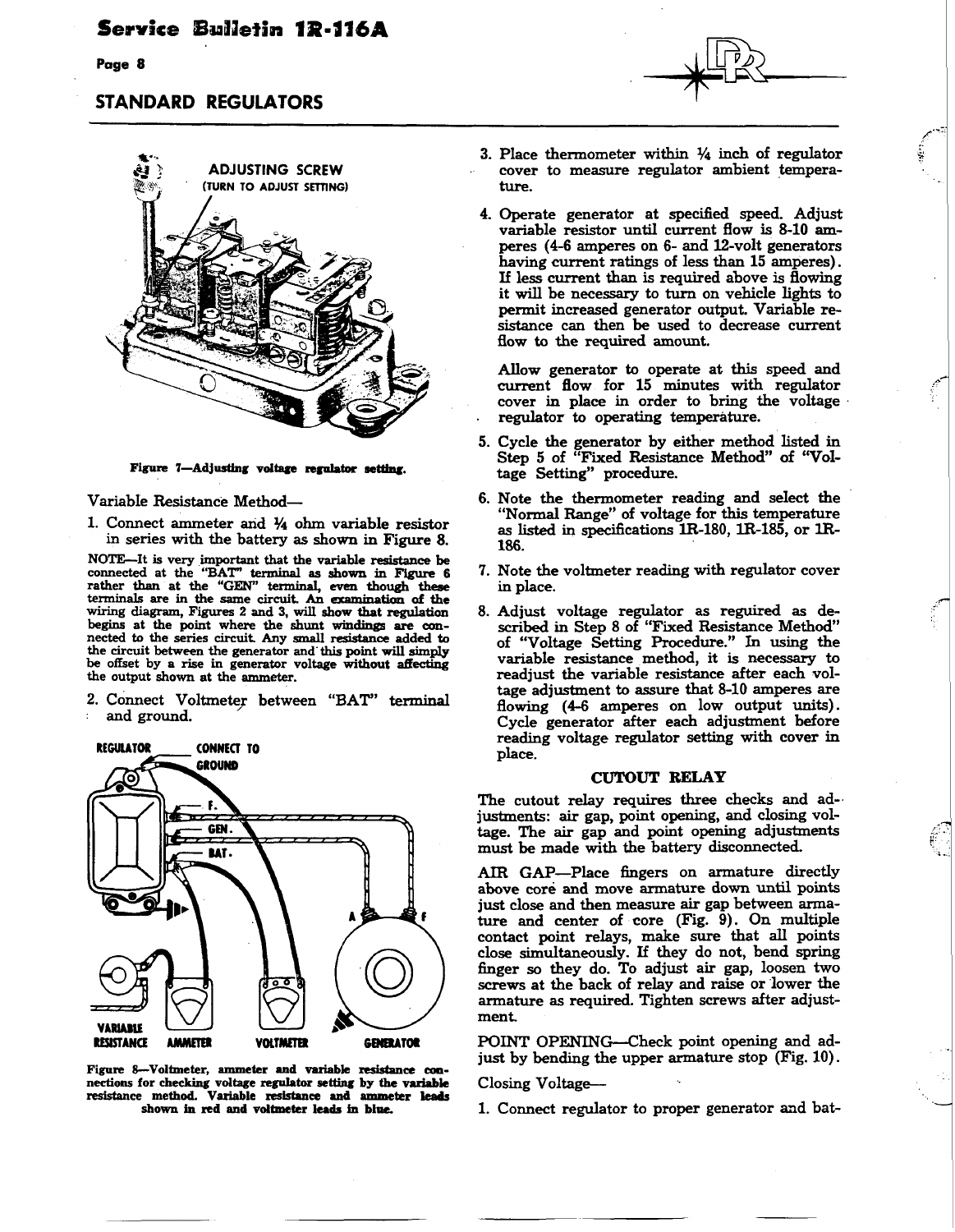**Page 8** 

# **STANDARD REGULATORS**



Figure 7-Adjusting voltage regulator setting.

Variable Resistance Method-

1. Connect ammeter and % ohm variable resistor in series with the battery as shown in Figure 8.

**NOTE-It is** very **important that the variable resistance be connected at the "BAT" terminal as shown in Figure 6 rather than at the "GEN" termid, even though** these *terminals* **are in the same circuit. An** examination **of the**  wiring diagram, Figures 2 and 3, will show that regulation begins at the point where the shunt windings are con**begins at the point where the shunt** win- **are con- nected to the series circuit. Any** small **resktance added to the circuit between the generator and this point will simply be offset by a rise in generator voltage without** *atlectiug*  **the output shown at the ammeter.** 

2. Connect Voltmetej between "BAT' **tenninal** and ground.



**Figure &Voltmeter, ammeter and variable redstance eon- neetiom for checking voltage ngalptor** *seUiug* **by the** variable **redstance method. Variable nsishnce and ammeter** leads shown in red and voltmeter leads in blue.

- 3. Place thermometer **within** 4/4 **inch** of regulator cover to measure regulator ambient temperature.
- 4. Operate generator at specified speed. Adjust variable resistor **until** current flow is 8-10 amperes (46 amperes on **6-** and 12-volt generators having current ratings of less than 15 amperes). If less current **than** is required above is flowing it will be necessary to turn on vehicle lights to permit increased generator output. Variable resistance can then be used to decrease current flow to the required amount.

Allow generator to operate at this speed and current flow for 15 minutes with regulator cover in place in order to bring the voltage . regulator to operating temperature.

- 5. Cycle the generator by either method listed in Step 5 of **"Fixed** Resistance Method" of **"Vol**tage Setting" procedure.
- 6. Note the thermometer reading and select the "Normal Range" of voltage for this temperature as listed in specitications lR-180, lR-185, or **1R-**186.
- 7. Note the voltmeter reading with regulator cover in place.
- 8. Adjust voltage regulator as reguired **as** de**scribed** in Step 8 of "Fixed Resistance Method" of "Voltage Setting Procedure." **In** using the variable resistance method, it is necessary to readjust the variable resistance after each voltage adjustment to assure that 8-10 amperes are flowing (4-6 amperes on low output units). Cycle generator after each adjustment before reading voltage regulator setting with cover in place.

#### **CUTOUT RELAY**

The cutout relay requires **three** checks and ad-. **justments:** air gap, point opening, and closing voltage. The air gap and point opening adjustments must be made with the battery disconnected.

**AIR** GAP-Place fingers on armature directly above core and move armature down until **points**  just close and then measure air gap between armature and center of core (Fig. 9). On multiple contact point relays, make sure that all points close **simultaneously. If** they do not, bend spring hger **so** they do. To adjust air gap, loosen two screws at the back of relay and raise or lower the armature as required. Tighten screws after adjustment.

**POINT** OPENING-Check point opening and adjust by bending the upper armature stop (Fig. 10).

Closing Voltage--

1. Connect regulator to proper generator and bat-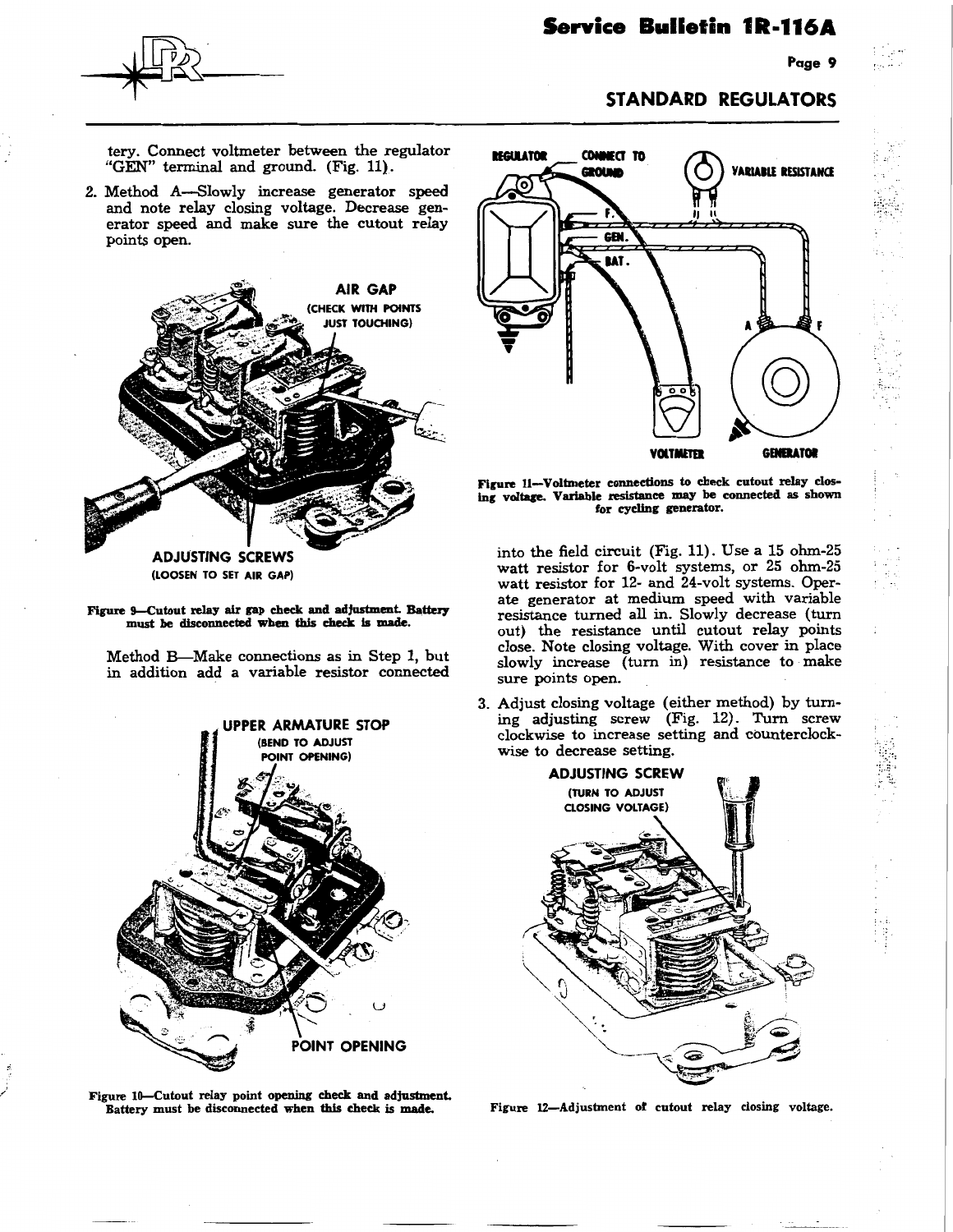**Page 9** 

تربين



## **STANDARD REGULATORS**

tery. Connect voltmeter between the regulator **"GEN"** terminal and ground. (Fig. **11).** 

2. Method A--Slowly increase generator speed and note relay closing voltage. Decrease generator speed and make sure the cutout relay points **open.** 



**(LOOSEN TO SET AIR GAP)** 

Figure 9-Cutout relay air gap check and adjustment. Battery **must be disconnected whm this check is made.** 

Method B-Make connections as in Step 1, but in addition add a variable resistor connected



**Figure IO-Cutout relay point opening check and adjustment. Battery must be disconnected when** this **check is made** 



**Figure 11-Voltmeter conneetiom to cheek cutout relay doshg voltage.. Variable** resistance **may be connected as shown for cycling generator.** 

into the field circuit (Fig. 11). Use a 15 ohm-25 watt resistor for 6-volt systems, or 25 ohm-25 watt resistor for 12- and 24-volt systems. Operate generator at medium speed with variable resistance turned all in. Slowly decrease (turn out) the resistance until cutout relay points close. Note closing voltage. **With** cover in place slowly increase (turn in) resistance to make sure points open.

3. Adjust closing voltage (either method) by **turn**ing adjusting screw (Fig. 12). Turn screw clockwise to increase setting and counterclock**wise** to decrease setting.



**Figure 12-Adjustment of cutout relay closing voltage.**